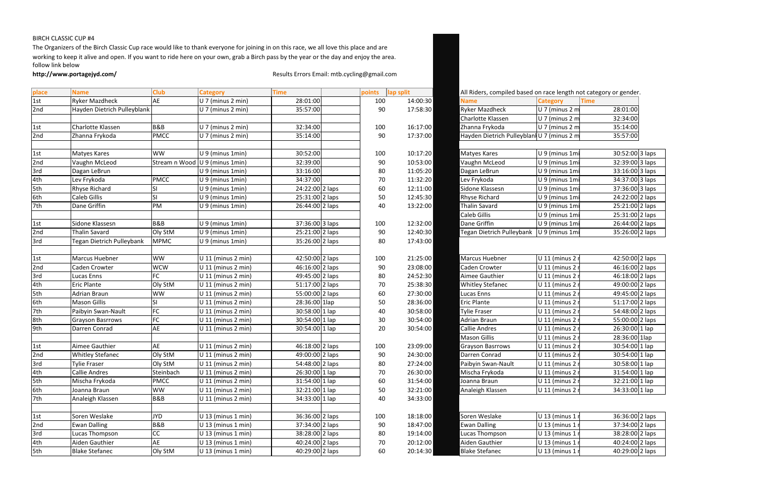## BIRCH CLASSIC CUP #4

The Organizers of the Birch Classic Cup race would like to thank everyone for joining in on this race, we all love this place and are working to keep it alive and open. If you want to ride here on your own, grab a Birch pass by the year or the day and enjoy the area. follow link below

http://www.portagejyd.com/<br>**http://www.portagejyd.com/** Results Errors Email: mtb.cycling@gmail.com

| All Riders, compiled based on race length not category or gender. |                   |                 |        |
|-------------------------------------------------------------------|-------------------|-----------------|--------|
| <b>Name</b>                                                       | <b>Category</b>   | <b>Time</b>     |        |
| <b>Ryker Mazdheck</b>                                             | $U$ 7 (minus 2 m  | 28:01:00        |        |
| Charlotte Klassen                                                 | U 7 (minus 2 m    | 32:34:00        |        |
| Zhanna Frykoda                                                    | U 7 (minus 2 m    | 35:14:00        |        |
| Hayden Dietrich Pulleyblan U 7 (minus 2 m                         |                   | 35:57:00        |        |
|                                                                   |                   |                 |        |
| Matyes Kares                                                      | U 9 (minus 1mi    | 30:52:00 3 laps |        |
| Vaughn McLeod                                                     | U 9 (minus 1mi    | 32:39:00 3 laps |        |
| Dagan LeBrun                                                      | U 9 (minus 1mi    | 33:16:00 3 laps |        |
| Lev Frykoda                                                       | U 9 (minus 1mi    | 34:37:00 3 laps |        |
| Sidone Klassesn                                                   | U 9 (minus 1mi    | 37:36:00 3 laps |        |
| Rhyse Richard                                                     | U 9 (minus 1mi    | 24:22:00 2 laps |        |
| <b>Thalin Savard</b>                                              | U 9 (minus 1mi    | 25:21:00 2 laps |        |
| <b>Caleb Gillis</b>                                               | U 9 (minus 1mi    | 25:31:00 2 laps |        |
| Dane Griffin                                                      | U 9 (minus 1mi    | 26:44:00 2 laps |        |
| <b>Tegan Dietrich Pulleybank</b>                                  | U 9 (minus 1mi    | 35:26:00 2 laps |        |
|                                                                   |                   |                 |        |
| Marcus Huebner                                                    | U 11 (minus 2 r   | 42:50:00 2 laps |        |
| Caden Crowter                                                     | U 11 (minus 2 r   | 46:16:00 2 laps |        |
| Aimee Gauthier                                                    | U 11 (minus 2 r   | 46:18:00 2 laps |        |
| <b>Whitley Stefanec</b>                                           | U 11 (minus 2 r   | 49:00:00 2 laps |        |
| <b>Lucas Enns</b>                                                 | U 11 (minus 2 r   | 49:45:00 2 laps |        |
| <b>Eric Plante</b>                                                | U 11 (minus 2 r   | 51:17:00 2 laps |        |
| <b>Tylie Fraser</b>                                               | U 11 (minus 2)    | 54:48:00 2 laps |        |
| <b>Adrian Braun</b>                                               | U 11 (minus 2)    | 55:00:00 2 laps |        |
| <b>Callie Andres</b>                                              | U 11 (minus 2 r   | 26:30:00 1 lap  |        |
| <b>Mason Gillis</b>                                               | U 11 (minus 2 r   | 28:36:00 1lap   |        |
| <b>Grayson Basrrows</b>                                           | U 11 (minus 2 r   | 30:54:00 1 lap  |        |
| Darren Conrad                                                     | $U$ 11 (minus 2 r | 30:54:00 1 lap  |        |
| Paibyin Swan-Nault                                                | $U$ 11 (minus 2 r | 30:58:00 1 lap  |        |
| Mischa Frykoda                                                    | $U$ 11 (minus 2)  | 31:54:00        | 1 lap  |
| Joanna Braun                                                      | $U$ 11 (minus 2   | 32:21:00 1 lap  |        |
| Analeigh Klassen                                                  | $U$ 11 (minus 2   | 34:33:00        | 1 lap  |
|                                                                   |                   |                 |        |
| Soren Weslake                                                     | $U$ 13 (minus 1   | 36:36:00        | 2 laps |
| <b>Ewan Dalling</b>                                               | U 13 (minus 1     | 37:34:00        | 2 laps |
| Lucas Thompson                                                    | U 13 (minus 1     | 38:28:00        | 2 laps |
| Aiden Gauthier                                                    | $U$ 13 (minus 1   | 40:24:00        | 2 laps |
| <b>Blake Stefanec</b>                                             | U 13 (minus 1)    | 40:29:00 2 laps |        |

| <b>AE</b><br><b>Ryker Mazdheck</b><br>U 7 (minus 2 min)<br>28:01:00<br>1st<br>14:00:30<br><b>Time</b><br>100<br><b>Category</b><br><b>Name</b><br>2nd<br>Hayden Dietrich Pulleyblank<br>$U$ 7 (minus 2 min)<br>35:57:00<br>90<br>17:58:30<br><b>Ryker Mazdheck</b><br>28:01:00<br>U 7 (minus 2 m<br>Charlotte Klassen<br>U 7 (minus 2 m<br>32:34:00<br><b>B&amp;B</b><br>U 7 (minus 2 min)<br>32:34:00<br>Zhanna Frykoda<br>U 7 (minus 2 m<br>Charlotte Klassen<br>16:17:00<br>35:14:00<br>1st<br>100<br>Hayden Dietrich Pulleyblan  U 7 (minus 2 m<br>Zhanna Frykoda<br><b>PMCC</b><br>U 7 (minus 2 min)<br>35:14:00<br>90<br>17:37:00<br>35:57:00<br>2nd<br><b>WW</b><br>U 9 (minus 1min)<br>U 9 (minus 1mi<br>30:52:00<br>10:17:20<br>Matyes Kares<br><b>Matyes Kares</b><br>100<br>1st<br>Stream n Wood U 9 (minus 1min)<br>2nd<br>32:39:00<br>10:53:00<br>Vaughn McLeod<br>U 9 (minus 1mi<br>Vaughn McLeod<br>90<br>3rd<br>33:16:00<br>U 9 (minus 1min)<br>80<br>11:05:20<br>Dagan LeBrun<br>U 9 (minus 1mi<br>Dagan LeBrun<br>4th<br><b>PMCC</b><br>U 9 (minus 1min)<br>34:37:00<br>Lev Frykoda<br>11:32:20<br>Lev Frykoda<br>U 9 (minus 1mi<br>70<br>5th<br>24:22:00 2 laps<br>Sidone Klassesn<br>U 9 (minus 1mi<br><b>Rhyse Richard</b><br>U 9 (minus 1min)<br>60<br>12:11:00<br>ISI<br>6th<br><b>SI</b><br>25:31:00 2 laps<br>Caleb Gillis<br>U 9 (minus 1min)<br>50<br>12:45:30<br><b>Rhyse Richard</b><br>U 9 (minus 1mi<br>7th<br>PM<br>Dane Griffin<br>26:44:00 2 laps<br>U 9 (minus 1min)<br>13:22:00<br><b>Thalin Savard</b><br>U 9 (minus 1mi<br>40<br>Caleb Gillis<br>U 9 (minus 1mi<br><b>B&amp;B</b><br>Dane Griffin<br>Sidone Klassesn<br>U 9 (minus 1min)<br>37:36:00 3 laps<br>100<br>12:32:00<br>U 9 (minus 1mi<br>1st<br>2nd<br>Thalin Savard<br>Oly StM<br>U 9 (minus 1min)<br>25:21:00 2 laps<br>12:40:30<br>Tegan Dietrich Pulleybank<br>U 9 (minus 1mi<br>90<br><b>Tegan Dietrich Pulleybank</b><br>3rd<br><b>MPMC</b><br>35:26:00 2 laps<br>U 9 (minus 1min)<br>17:43:00<br>80<br>42:50:00 2 laps<br>Marcus Huebner<br><b>WW</b><br>$U$ 11 (minus 2 min)<br>42:50:00 2 laps<br>100<br>21:25:00<br>Marcus Huebner<br>$U$ 11 (minus 2 r<br>1st<br>46:16:00 2 laps<br>46:16:00 2 laps<br>2nd<br><b>WCW</b><br>U 11 (minus 2 min)<br>Caden Crowter<br>U 11 (minus 2 r<br>Caden Crowter<br>90<br>23:08:00<br>3rd<br>$U$ 11 (minus 2 min)<br>49:45:00 2 laps<br>46:18:00 2 laps<br>Lucas Enns<br>FC<br>24:52:30<br>Aimee Gauthier<br>U 11 (minus 2 r<br>80<br>4th<br>Oly StM<br>U 11 (minus 2 min)<br>51:17:00 2 laps<br><b>Whitley Stefanec</b><br>U 11 (minus 2 i<br>49:00:00 2 laps<br><b>Eric Plante</b><br>25:38:30<br>70<br>5th<br>55:00:00 2 laps<br>60<br>27:30:00<br>Adrian Braun<br><b>WW</b><br>$U$ 11 (minus 2 min)<br><b>U 11 (minus 2)</b><br>49:45:00 2 laps<br>Lucas Enns<br>6th<br>28:36:00 1lap<br><b>Mason Gillis</b><br>$U$ 11 (minus 2 min)<br>50<br>28:36:00<br>Eric Plante<br>U 11 (minus 2 i<br>51:17:00 2 laps<br>ISI<br><b>FC</b><br>7th<br>30:58:00 1 lap<br>54:48:00 2 laps<br>Paibyin Swan-Nault<br>$U$ 11 (minus 2 min)<br>40<br>30:58:00<br><b>U 11 (minus 2)</b><br><b>Tylie Fraser</b><br><b>FC</b><br>U 11 (minus 2 min)<br>30:54:00 1 lap<br><b>Adrian Braun</b><br>30<br>30:54:00<br>U 11 (minus 2 i<br><b>Grayson Basrrows</b><br>9th<br>AE<br>Darren Conrad<br>$U$ 11 (minus 2 min)<br>30:54:00 1 lap<br>20<br>30:54:00<br><b>Callie Andres</b><br>U 11 (minus 2 r<br>U 11 (minus 2 r<br><b>Mason Gillis</b><br>Aimee Gauthier<br><b>AE</b><br>U 11 (minus 2 min)<br>46:18:00 2 laps<br>100<br>23:09:00<br>U 11 (minus 2<br>1st<br>Grayson Basrrows<br>2nd<br>49:00:00 2 laps<br>24:30:00<br><b>Whitley Stefanec</b><br>Oly StM<br>$U$ 11 (minus 2 min)<br>90<br>Darren Conrad<br>U 11 (minus 2 r<br>3rd<br>U 11 (minus 2 r<br>30:58:00 1 lap<br>Oly StM<br>54:48:00 2 laps<br>Paibyin Swan-Nault<br><b>Tylie Fraser</b><br>U 11 (minus 2 min)<br>80<br>27:24:00<br>4th<br>Steinbach<br>$U$ 11 (minus 2 min)<br>26:30:00 1 lap<br>26:30:00<br>Mischa Frykoda<br>U 11 (minus 2 r<br>$31:54:00$ 1 lap<br>Callie Andres<br>70<br>5th<br><b>PMCC</b><br>$U$ 11 (minus 2 min)<br>31:54:00 1 lap<br>31:54:00<br>U 11 (minus 2 r<br>Mischa Frykoda<br>60<br>Joanna Braun<br>6th<br><b>WW</b><br>$U$ 11 (minus 2 min)<br>32:21:00 1 lap<br>32:21:00<br>50<br>Analeigh Klassen<br>U 11 (minus 2 r<br>Joanna Braun<br>$U$ 11 (minus 2 min)<br>34:33:00 1 lap<br>Analeigh Klassen<br><b>B&amp;B</b><br>34:33:00<br>40<br>36:36:00 2 laps<br>$U$ 13 (minus 1 min)<br>36:36:00 2 laps<br>Soren Weslake<br>U 13 (minus 1 r<br>Soren Weslake<br><b>JYD</b><br>100<br>18:18:00<br>1st<br>2nd<br><b>B&amp;B</b><br>37:34:00 2 laps<br>37:34:00 2 laps<br><b>Ewan Dalling</b><br>$U$ 13 (minus 1 min)<br>18:47:00<br><b>Ewan Dalling</b><br>U 13 (minus 1 r<br>90<br>3rd<br>CC<br>$U$ 13 (minus 1 min)<br>38:28:00 2 laps<br>U 13 (minus 1 r<br>38:28:00 2 laps<br>Lucas Thompson<br>19:14:00<br>Lucas Thompson<br>80<br>4th<br><b>AE</b><br>$U$ 13 (minus 1 min)<br>40:24:00 2 laps<br>40:24:00 2 laps<br>20:12:00<br>Aiden Gauthier<br>$U$ 13 (minus 1)<br>Aiden Gauthier<br>70<br>40:29:00 2 laps | place | <b>Name</b>           | <b>Club</b> | <b>Category</b>      | <b>Time</b> | points | lap split | All Riders, compiled based on race length not category or gender. |                 |                  |
|-------------------------------------------------------------------------------------------------------------------------------------------------------------------------------------------------------------------------------------------------------------------------------------------------------------------------------------------------------------------------------------------------------------------------------------------------------------------------------------------------------------------------------------------------------------------------------------------------------------------------------------------------------------------------------------------------------------------------------------------------------------------------------------------------------------------------------------------------------------------------------------------------------------------------------------------------------------------------------------------------------------------------------------------------------------------------------------------------------------------------------------------------------------------------------------------------------------------------------------------------------------------------------------------------------------------------------------------------------------------------------------------------------------------------------------------------------------------------------------------------------------------------------------------------------------------------------------------------------------------------------------------------------------------------------------------------------------------------------------------------------------------------------------------------------------------------------------------------------------------------------------------------------------------------------------------------------------------------------------------------------------------------------------------------------------------------------------------------------------------------------------------------------------------------------------------------------------------------------------------------------------------------------------------------------------------------------------------------------------------------------------------------------------------------------------------------------------------------------------------------------------------------------------------------------------------------------------------------------------------------------------------------------------------------------------------------------------------------------------------------------------------------------------------------------------------------------------------------------------------------------------------------------------------------------------------------------------------------------------------------------------------------------------------------------------------------------------------------------------------------------------------------------------------------------------------------------------------------------------------------------------------------------------------------------------------------------------------------------------------------------------------------------------------------------------------------------------------------------------------------------------------------------------------------------------------------------------------------------------------------------------------------------------------------------------------------------------------------------------------------------------------------------------------------------------------------------------------------------------------------------------------------------------------------------------------------------------------------------------------------------------------------------------------------------------------------------------------------------------------------------------------------------------------------------------------------------------------------------------------------------------------------------------------------------------------------------------------------------------------------------------------------------------------------------------------------------------------------------------------------------------------------------------------------------------------------------------------------------------------------------------------------------------------------------------------------------------------------------------------------------------------------------------------------------------------------------------------------------------------------------------------------------------------------------------------------------------------------------------------------------------------------------------------------------------------------------------------------------------------------------------------------|-------|-----------------------|-------------|----------------------|-------------|--------|-----------|-------------------------------------------------------------------|-----------------|------------------|
|                                                                                                                                                                                                                                                                                                                                                                                                                                                                                                                                                                                                                                                                                                                                                                                                                                                                                                                                                                                                                                                                                                                                                                                                                                                                                                                                                                                                                                                                                                                                                                                                                                                                                                                                                                                                                                                                                                                                                                                                                                                                                                                                                                                                                                                                                                                                                                                                                                                                                                                                                                                                                                                                                                                                                                                                                                                                                                                                                                                                                                                                                                                                                                                                                                                                                                                                                                                                                                                                                                                                                                                                                                                                                                                                                                                                                                                                                                                                                                                                                                                                                                                                                                                                                                                                                                                                                                                                                                                                                                                                                                                                                                                                                                                                                                                                                                                                                                                                                                                                                                                                                                                                                 |       |                       |             |                      |             |        |           |                                                                   |                 |                  |
|                                                                                                                                                                                                                                                                                                                                                                                                                                                                                                                                                                                                                                                                                                                                                                                                                                                                                                                                                                                                                                                                                                                                                                                                                                                                                                                                                                                                                                                                                                                                                                                                                                                                                                                                                                                                                                                                                                                                                                                                                                                                                                                                                                                                                                                                                                                                                                                                                                                                                                                                                                                                                                                                                                                                                                                                                                                                                                                                                                                                                                                                                                                                                                                                                                                                                                                                                                                                                                                                                                                                                                                                                                                                                                                                                                                                                                                                                                                                                                                                                                                                                                                                                                                                                                                                                                                                                                                                                                                                                                                                                                                                                                                                                                                                                                                                                                                                                                                                                                                                                                                                                                                                                 |       |                       |             |                      |             |        |           |                                                                   |                 |                  |
|                                                                                                                                                                                                                                                                                                                                                                                                                                                                                                                                                                                                                                                                                                                                                                                                                                                                                                                                                                                                                                                                                                                                                                                                                                                                                                                                                                                                                                                                                                                                                                                                                                                                                                                                                                                                                                                                                                                                                                                                                                                                                                                                                                                                                                                                                                                                                                                                                                                                                                                                                                                                                                                                                                                                                                                                                                                                                                                                                                                                                                                                                                                                                                                                                                                                                                                                                                                                                                                                                                                                                                                                                                                                                                                                                                                                                                                                                                                                                                                                                                                                                                                                                                                                                                                                                                                                                                                                                                                                                                                                                                                                                                                                                                                                                                                                                                                                                                                                                                                                                                                                                                                                                 |       |                       |             |                      |             |        |           |                                                                   |                 |                  |
|                                                                                                                                                                                                                                                                                                                                                                                                                                                                                                                                                                                                                                                                                                                                                                                                                                                                                                                                                                                                                                                                                                                                                                                                                                                                                                                                                                                                                                                                                                                                                                                                                                                                                                                                                                                                                                                                                                                                                                                                                                                                                                                                                                                                                                                                                                                                                                                                                                                                                                                                                                                                                                                                                                                                                                                                                                                                                                                                                                                                                                                                                                                                                                                                                                                                                                                                                                                                                                                                                                                                                                                                                                                                                                                                                                                                                                                                                                                                                                                                                                                                                                                                                                                                                                                                                                                                                                                                                                                                                                                                                                                                                                                                                                                                                                                                                                                                                                                                                                                                                                                                                                                                                 |       |                       |             |                      |             |        |           |                                                                   |                 |                  |
|                                                                                                                                                                                                                                                                                                                                                                                                                                                                                                                                                                                                                                                                                                                                                                                                                                                                                                                                                                                                                                                                                                                                                                                                                                                                                                                                                                                                                                                                                                                                                                                                                                                                                                                                                                                                                                                                                                                                                                                                                                                                                                                                                                                                                                                                                                                                                                                                                                                                                                                                                                                                                                                                                                                                                                                                                                                                                                                                                                                                                                                                                                                                                                                                                                                                                                                                                                                                                                                                                                                                                                                                                                                                                                                                                                                                                                                                                                                                                                                                                                                                                                                                                                                                                                                                                                                                                                                                                                                                                                                                                                                                                                                                                                                                                                                                                                                                                                                                                                                                                                                                                                                                                 |       |                       |             |                      |             |        |           |                                                                   |                 |                  |
|                                                                                                                                                                                                                                                                                                                                                                                                                                                                                                                                                                                                                                                                                                                                                                                                                                                                                                                                                                                                                                                                                                                                                                                                                                                                                                                                                                                                                                                                                                                                                                                                                                                                                                                                                                                                                                                                                                                                                                                                                                                                                                                                                                                                                                                                                                                                                                                                                                                                                                                                                                                                                                                                                                                                                                                                                                                                                                                                                                                                                                                                                                                                                                                                                                                                                                                                                                                                                                                                                                                                                                                                                                                                                                                                                                                                                                                                                                                                                                                                                                                                                                                                                                                                                                                                                                                                                                                                                                                                                                                                                                                                                                                                                                                                                                                                                                                                                                                                                                                                                                                                                                                                                 |       |                       |             |                      |             |        |           |                                                                   |                 | 30:52:00 3 laps  |
|                                                                                                                                                                                                                                                                                                                                                                                                                                                                                                                                                                                                                                                                                                                                                                                                                                                                                                                                                                                                                                                                                                                                                                                                                                                                                                                                                                                                                                                                                                                                                                                                                                                                                                                                                                                                                                                                                                                                                                                                                                                                                                                                                                                                                                                                                                                                                                                                                                                                                                                                                                                                                                                                                                                                                                                                                                                                                                                                                                                                                                                                                                                                                                                                                                                                                                                                                                                                                                                                                                                                                                                                                                                                                                                                                                                                                                                                                                                                                                                                                                                                                                                                                                                                                                                                                                                                                                                                                                                                                                                                                                                                                                                                                                                                                                                                                                                                                                                                                                                                                                                                                                                                                 |       |                       |             |                      |             |        |           |                                                                   |                 | 32:39:00 3 laps  |
|                                                                                                                                                                                                                                                                                                                                                                                                                                                                                                                                                                                                                                                                                                                                                                                                                                                                                                                                                                                                                                                                                                                                                                                                                                                                                                                                                                                                                                                                                                                                                                                                                                                                                                                                                                                                                                                                                                                                                                                                                                                                                                                                                                                                                                                                                                                                                                                                                                                                                                                                                                                                                                                                                                                                                                                                                                                                                                                                                                                                                                                                                                                                                                                                                                                                                                                                                                                                                                                                                                                                                                                                                                                                                                                                                                                                                                                                                                                                                                                                                                                                                                                                                                                                                                                                                                                                                                                                                                                                                                                                                                                                                                                                                                                                                                                                                                                                                                                                                                                                                                                                                                                                                 |       |                       |             |                      |             |        |           |                                                                   |                 | 33:16:00 3 laps  |
|                                                                                                                                                                                                                                                                                                                                                                                                                                                                                                                                                                                                                                                                                                                                                                                                                                                                                                                                                                                                                                                                                                                                                                                                                                                                                                                                                                                                                                                                                                                                                                                                                                                                                                                                                                                                                                                                                                                                                                                                                                                                                                                                                                                                                                                                                                                                                                                                                                                                                                                                                                                                                                                                                                                                                                                                                                                                                                                                                                                                                                                                                                                                                                                                                                                                                                                                                                                                                                                                                                                                                                                                                                                                                                                                                                                                                                                                                                                                                                                                                                                                                                                                                                                                                                                                                                                                                                                                                                                                                                                                                                                                                                                                                                                                                                                                                                                                                                                                                                                                                                                                                                                                                 |       |                       |             |                      |             |        |           |                                                                   |                 | 34:37:00 3 laps  |
|                                                                                                                                                                                                                                                                                                                                                                                                                                                                                                                                                                                                                                                                                                                                                                                                                                                                                                                                                                                                                                                                                                                                                                                                                                                                                                                                                                                                                                                                                                                                                                                                                                                                                                                                                                                                                                                                                                                                                                                                                                                                                                                                                                                                                                                                                                                                                                                                                                                                                                                                                                                                                                                                                                                                                                                                                                                                                                                                                                                                                                                                                                                                                                                                                                                                                                                                                                                                                                                                                                                                                                                                                                                                                                                                                                                                                                                                                                                                                                                                                                                                                                                                                                                                                                                                                                                                                                                                                                                                                                                                                                                                                                                                                                                                                                                                                                                                                                                                                                                                                                                                                                                                                 |       |                       |             |                      |             |        |           |                                                                   |                 | 37:36:00 3 laps  |
|                                                                                                                                                                                                                                                                                                                                                                                                                                                                                                                                                                                                                                                                                                                                                                                                                                                                                                                                                                                                                                                                                                                                                                                                                                                                                                                                                                                                                                                                                                                                                                                                                                                                                                                                                                                                                                                                                                                                                                                                                                                                                                                                                                                                                                                                                                                                                                                                                                                                                                                                                                                                                                                                                                                                                                                                                                                                                                                                                                                                                                                                                                                                                                                                                                                                                                                                                                                                                                                                                                                                                                                                                                                                                                                                                                                                                                                                                                                                                                                                                                                                                                                                                                                                                                                                                                                                                                                                                                                                                                                                                                                                                                                                                                                                                                                                                                                                                                                                                                                                                                                                                                                                                 |       |                       |             |                      |             |        |           |                                                                   |                 | 24:22:00 2 laps  |
|                                                                                                                                                                                                                                                                                                                                                                                                                                                                                                                                                                                                                                                                                                                                                                                                                                                                                                                                                                                                                                                                                                                                                                                                                                                                                                                                                                                                                                                                                                                                                                                                                                                                                                                                                                                                                                                                                                                                                                                                                                                                                                                                                                                                                                                                                                                                                                                                                                                                                                                                                                                                                                                                                                                                                                                                                                                                                                                                                                                                                                                                                                                                                                                                                                                                                                                                                                                                                                                                                                                                                                                                                                                                                                                                                                                                                                                                                                                                                                                                                                                                                                                                                                                                                                                                                                                                                                                                                                                                                                                                                                                                                                                                                                                                                                                                                                                                                                                                                                                                                                                                                                                                                 |       |                       |             |                      |             |        |           |                                                                   |                 | 25:21:00 2 laps  |
|                                                                                                                                                                                                                                                                                                                                                                                                                                                                                                                                                                                                                                                                                                                                                                                                                                                                                                                                                                                                                                                                                                                                                                                                                                                                                                                                                                                                                                                                                                                                                                                                                                                                                                                                                                                                                                                                                                                                                                                                                                                                                                                                                                                                                                                                                                                                                                                                                                                                                                                                                                                                                                                                                                                                                                                                                                                                                                                                                                                                                                                                                                                                                                                                                                                                                                                                                                                                                                                                                                                                                                                                                                                                                                                                                                                                                                                                                                                                                                                                                                                                                                                                                                                                                                                                                                                                                                                                                                                                                                                                                                                                                                                                                                                                                                                                                                                                                                                                                                                                                                                                                                                                                 |       |                       |             |                      |             |        |           |                                                                   |                 | 25:31:00 2 laps  |
|                                                                                                                                                                                                                                                                                                                                                                                                                                                                                                                                                                                                                                                                                                                                                                                                                                                                                                                                                                                                                                                                                                                                                                                                                                                                                                                                                                                                                                                                                                                                                                                                                                                                                                                                                                                                                                                                                                                                                                                                                                                                                                                                                                                                                                                                                                                                                                                                                                                                                                                                                                                                                                                                                                                                                                                                                                                                                                                                                                                                                                                                                                                                                                                                                                                                                                                                                                                                                                                                                                                                                                                                                                                                                                                                                                                                                                                                                                                                                                                                                                                                                                                                                                                                                                                                                                                                                                                                                                                                                                                                                                                                                                                                                                                                                                                                                                                                                                                                                                                                                                                                                                                                                 |       |                       |             |                      |             |        |           |                                                                   |                 | 26:44:00 2 laps  |
|                                                                                                                                                                                                                                                                                                                                                                                                                                                                                                                                                                                                                                                                                                                                                                                                                                                                                                                                                                                                                                                                                                                                                                                                                                                                                                                                                                                                                                                                                                                                                                                                                                                                                                                                                                                                                                                                                                                                                                                                                                                                                                                                                                                                                                                                                                                                                                                                                                                                                                                                                                                                                                                                                                                                                                                                                                                                                                                                                                                                                                                                                                                                                                                                                                                                                                                                                                                                                                                                                                                                                                                                                                                                                                                                                                                                                                                                                                                                                                                                                                                                                                                                                                                                                                                                                                                                                                                                                                                                                                                                                                                                                                                                                                                                                                                                                                                                                                                                                                                                                                                                                                                                                 |       |                       |             |                      |             |        |           |                                                                   |                 | 35:26:00 2 laps  |
|                                                                                                                                                                                                                                                                                                                                                                                                                                                                                                                                                                                                                                                                                                                                                                                                                                                                                                                                                                                                                                                                                                                                                                                                                                                                                                                                                                                                                                                                                                                                                                                                                                                                                                                                                                                                                                                                                                                                                                                                                                                                                                                                                                                                                                                                                                                                                                                                                                                                                                                                                                                                                                                                                                                                                                                                                                                                                                                                                                                                                                                                                                                                                                                                                                                                                                                                                                                                                                                                                                                                                                                                                                                                                                                                                                                                                                                                                                                                                                                                                                                                                                                                                                                                                                                                                                                                                                                                                                                                                                                                                                                                                                                                                                                                                                                                                                                                                                                                                                                                                                                                                                                                                 |       |                       |             |                      |             |        |           |                                                                   |                 |                  |
|                                                                                                                                                                                                                                                                                                                                                                                                                                                                                                                                                                                                                                                                                                                                                                                                                                                                                                                                                                                                                                                                                                                                                                                                                                                                                                                                                                                                                                                                                                                                                                                                                                                                                                                                                                                                                                                                                                                                                                                                                                                                                                                                                                                                                                                                                                                                                                                                                                                                                                                                                                                                                                                                                                                                                                                                                                                                                                                                                                                                                                                                                                                                                                                                                                                                                                                                                                                                                                                                                                                                                                                                                                                                                                                                                                                                                                                                                                                                                                                                                                                                                                                                                                                                                                                                                                                                                                                                                                                                                                                                                                                                                                                                                                                                                                                                                                                                                                                                                                                                                                                                                                                                                 |       |                       |             |                      |             |        |           |                                                                   |                 |                  |
|                                                                                                                                                                                                                                                                                                                                                                                                                                                                                                                                                                                                                                                                                                                                                                                                                                                                                                                                                                                                                                                                                                                                                                                                                                                                                                                                                                                                                                                                                                                                                                                                                                                                                                                                                                                                                                                                                                                                                                                                                                                                                                                                                                                                                                                                                                                                                                                                                                                                                                                                                                                                                                                                                                                                                                                                                                                                                                                                                                                                                                                                                                                                                                                                                                                                                                                                                                                                                                                                                                                                                                                                                                                                                                                                                                                                                                                                                                                                                                                                                                                                                                                                                                                                                                                                                                                                                                                                                                                                                                                                                                                                                                                                                                                                                                                                                                                                                                                                                                                                                                                                                                                                                 |       |                       |             |                      |             |        |           |                                                                   |                 |                  |
|                                                                                                                                                                                                                                                                                                                                                                                                                                                                                                                                                                                                                                                                                                                                                                                                                                                                                                                                                                                                                                                                                                                                                                                                                                                                                                                                                                                                                                                                                                                                                                                                                                                                                                                                                                                                                                                                                                                                                                                                                                                                                                                                                                                                                                                                                                                                                                                                                                                                                                                                                                                                                                                                                                                                                                                                                                                                                                                                                                                                                                                                                                                                                                                                                                                                                                                                                                                                                                                                                                                                                                                                                                                                                                                                                                                                                                                                                                                                                                                                                                                                                                                                                                                                                                                                                                                                                                                                                                                                                                                                                                                                                                                                                                                                                                                                                                                                                                                                                                                                                                                                                                                                                 |       |                       |             |                      |             |        |           |                                                                   |                 |                  |
|                                                                                                                                                                                                                                                                                                                                                                                                                                                                                                                                                                                                                                                                                                                                                                                                                                                                                                                                                                                                                                                                                                                                                                                                                                                                                                                                                                                                                                                                                                                                                                                                                                                                                                                                                                                                                                                                                                                                                                                                                                                                                                                                                                                                                                                                                                                                                                                                                                                                                                                                                                                                                                                                                                                                                                                                                                                                                                                                                                                                                                                                                                                                                                                                                                                                                                                                                                                                                                                                                                                                                                                                                                                                                                                                                                                                                                                                                                                                                                                                                                                                                                                                                                                                                                                                                                                                                                                                                                                                                                                                                                                                                                                                                                                                                                                                                                                                                                                                                                                                                                                                                                                                                 |       |                       |             |                      |             |        |           |                                                                   |                 |                  |
|                                                                                                                                                                                                                                                                                                                                                                                                                                                                                                                                                                                                                                                                                                                                                                                                                                                                                                                                                                                                                                                                                                                                                                                                                                                                                                                                                                                                                                                                                                                                                                                                                                                                                                                                                                                                                                                                                                                                                                                                                                                                                                                                                                                                                                                                                                                                                                                                                                                                                                                                                                                                                                                                                                                                                                                                                                                                                                                                                                                                                                                                                                                                                                                                                                                                                                                                                                                                                                                                                                                                                                                                                                                                                                                                                                                                                                                                                                                                                                                                                                                                                                                                                                                                                                                                                                                                                                                                                                                                                                                                                                                                                                                                                                                                                                                                                                                                                                                                                                                                                                                                                                                                                 |       |                       |             |                      |             |        |           |                                                                   |                 |                  |
|                                                                                                                                                                                                                                                                                                                                                                                                                                                                                                                                                                                                                                                                                                                                                                                                                                                                                                                                                                                                                                                                                                                                                                                                                                                                                                                                                                                                                                                                                                                                                                                                                                                                                                                                                                                                                                                                                                                                                                                                                                                                                                                                                                                                                                                                                                                                                                                                                                                                                                                                                                                                                                                                                                                                                                                                                                                                                                                                                                                                                                                                                                                                                                                                                                                                                                                                                                                                                                                                                                                                                                                                                                                                                                                                                                                                                                                                                                                                                                                                                                                                                                                                                                                                                                                                                                                                                                                                                                                                                                                                                                                                                                                                                                                                                                                                                                                                                                                                                                                                                                                                                                                                                 |       |                       |             |                      |             |        |           |                                                                   |                 |                  |
|                                                                                                                                                                                                                                                                                                                                                                                                                                                                                                                                                                                                                                                                                                                                                                                                                                                                                                                                                                                                                                                                                                                                                                                                                                                                                                                                                                                                                                                                                                                                                                                                                                                                                                                                                                                                                                                                                                                                                                                                                                                                                                                                                                                                                                                                                                                                                                                                                                                                                                                                                                                                                                                                                                                                                                                                                                                                                                                                                                                                                                                                                                                                                                                                                                                                                                                                                                                                                                                                                                                                                                                                                                                                                                                                                                                                                                                                                                                                                                                                                                                                                                                                                                                                                                                                                                                                                                                                                                                                                                                                                                                                                                                                                                                                                                                                                                                                                                                                                                                                                                                                                                                                                 |       |                       |             |                      |             |        |           |                                                                   |                 |                  |
|                                                                                                                                                                                                                                                                                                                                                                                                                                                                                                                                                                                                                                                                                                                                                                                                                                                                                                                                                                                                                                                                                                                                                                                                                                                                                                                                                                                                                                                                                                                                                                                                                                                                                                                                                                                                                                                                                                                                                                                                                                                                                                                                                                                                                                                                                                                                                                                                                                                                                                                                                                                                                                                                                                                                                                                                                                                                                                                                                                                                                                                                                                                                                                                                                                                                                                                                                                                                                                                                                                                                                                                                                                                                                                                                                                                                                                                                                                                                                                                                                                                                                                                                                                                                                                                                                                                                                                                                                                                                                                                                                                                                                                                                                                                                                                                                                                                                                                                                                                                                                                                                                                                                                 | 8th   |                       |             |                      |             |        |           |                                                                   |                 | 55:00:00 2 laps  |
|                                                                                                                                                                                                                                                                                                                                                                                                                                                                                                                                                                                                                                                                                                                                                                                                                                                                                                                                                                                                                                                                                                                                                                                                                                                                                                                                                                                                                                                                                                                                                                                                                                                                                                                                                                                                                                                                                                                                                                                                                                                                                                                                                                                                                                                                                                                                                                                                                                                                                                                                                                                                                                                                                                                                                                                                                                                                                                                                                                                                                                                                                                                                                                                                                                                                                                                                                                                                                                                                                                                                                                                                                                                                                                                                                                                                                                                                                                                                                                                                                                                                                                                                                                                                                                                                                                                                                                                                                                                                                                                                                                                                                                                                                                                                                                                                                                                                                                                                                                                                                                                                                                                                                 |       |                       |             |                      |             |        |           |                                                                   |                 | 26:30:00 1 lap   |
|                                                                                                                                                                                                                                                                                                                                                                                                                                                                                                                                                                                                                                                                                                                                                                                                                                                                                                                                                                                                                                                                                                                                                                                                                                                                                                                                                                                                                                                                                                                                                                                                                                                                                                                                                                                                                                                                                                                                                                                                                                                                                                                                                                                                                                                                                                                                                                                                                                                                                                                                                                                                                                                                                                                                                                                                                                                                                                                                                                                                                                                                                                                                                                                                                                                                                                                                                                                                                                                                                                                                                                                                                                                                                                                                                                                                                                                                                                                                                                                                                                                                                                                                                                                                                                                                                                                                                                                                                                                                                                                                                                                                                                                                                                                                                                                                                                                                                                                                                                                                                                                                                                                                                 |       |                       |             |                      |             |        |           |                                                                   |                 | 28:36:00 1lap    |
|                                                                                                                                                                                                                                                                                                                                                                                                                                                                                                                                                                                                                                                                                                                                                                                                                                                                                                                                                                                                                                                                                                                                                                                                                                                                                                                                                                                                                                                                                                                                                                                                                                                                                                                                                                                                                                                                                                                                                                                                                                                                                                                                                                                                                                                                                                                                                                                                                                                                                                                                                                                                                                                                                                                                                                                                                                                                                                                                                                                                                                                                                                                                                                                                                                                                                                                                                                                                                                                                                                                                                                                                                                                                                                                                                                                                                                                                                                                                                                                                                                                                                                                                                                                                                                                                                                                                                                                                                                                                                                                                                                                                                                                                                                                                                                                                                                                                                                                                                                                                                                                                                                                                                 |       |                       |             |                      |             |        |           |                                                                   |                 | $30:54:00$ 1 lap |
|                                                                                                                                                                                                                                                                                                                                                                                                                                                                                                                                                                                                                                                                                                                                                                                                                                                                                                                                                                                                                                                                                                                                                                                                                                                                                                                                                                                                                                                                                                                                                                                                                                                                                                                                                                                                                                                                                                                                                                                                                                                                                                                                                                                                                                                                                                                                                                                                                                                                                                                                                                                                                                                                                                                                                                                                                                                                                                                                                                                                                                                                                                                                                                                                                                                                                                                                                                                                                                                                                                                                                                                                                                                                                                                                                                                                                                                                                                                                                                                                                                                                                                                                                                                                                                                                                                                                                                                                                                                                                                                                                                                                                                                                                                                                                                                                                                                                                                                                                                                                                                                                                                                                                 |       |                       |             |                      |             |        |           |                                                                   |                 | $30:54:00$ 1 lap |
|                                                                                                                                                                                                                                                                                                                                                                                                                                                                                                                                                                                                                                                                                                                                                                                                                                                                                                                                                                                                                                                                                                                                                                                                                                                                                                                                                                                                                                                                                                                                                                                                                                                                                                                                                                                                                                                                                                                                                                                                                                                                                                                                                                                                                                                                                                                                                                                                                                                                                                                                                                                                                                                                                                                                                                                                                                                                                                                                                                                                                                                                                                                                                                                                                                                                                                                                                                                                                                                                                                                                                                                                                                                                                                                                                                                                                                                                                                                                                                                                                                                                                                                                                                                                                                                                                                                                                                                                                                                                                                                                                                                                                                                                                                                                                                                                                                                                                                                                                                                                                                                                                                                                                 |       |                       |             |                      |             |        |           |                                                                   |                 |                  |
|                                                                                                                                                                                                                                                                                                                                                                                                                                                                                                                                                                                                                                                                                                                                                                                                                                                                                                                                                                                                                                                                                                                                                                                                                                                                                                                                                                                                                                                                                                                                                                                                                                                                                                                                                                                                                                                                                                                                                                                                                                                                                                                                                                                                                                                                                                                                                                                                                                                                                                                                                                                                                                                                                                                                                                                                                                                                                                                                                                                                                                                                                                                                                                                                                                                                                                                                                                                                                                                                                                                                                                                                                                                                                                                                                                                                                                                                                                                                                                                                                                                                                                                                                                                                                                                                                                                                                                                                                                                                                                                                                                                                                                                                                                                                                                                                                                                                                                                                                                                                                                                                                                                                                 |       |                       |             |                      |             |        |           |                                                                   |                 |                  |
|                                                                                                                                                                                                                                                                                                                                                                                                                                                                                                                                                                                                                                                                                                                                                                                                                                                                                                                                                                                                                                                                                                                                                                                                                                                                                                                                                                                                                                                                                                                                                                                                                                                                                                                                                                                                                                                                                                                                                                                                                                                                                                                                                                                                                                                                                                                                                                                                                                                                                                                                                                                                                                                                                                                                                                                                                                                                                                                                                                                                                                                                                                                                                                                                                                                                                                                                                                                                                                                                                                                                                                                                                                                                                                                                                                                                                                                                                                                                                                                                                                                                                                                                                                                                                                                                                                                                                                                                                                                                                                                                                                                                                                                                                                                                                                                                                                                                                                                                                                                                                                                                                                                                                 |       |                       |             |                      |             |        |           |                                                                   |                 | $32:21:00$ 1 lap |
|                                                                                                                                                                                                                                                                                                                                                                                                                                                                                                                                                                                                                                                                                                                                                                                                                                                                                                                                                                                                                                                                                                                                                                                                                                                                                                                                                                                                                                                                                                                                                                                                                                                                                                                                                                                                                                                                                                                                                                                                                                                                                                                                                                                                                                                                                                                                                                                                                                                                                                                                                                                                                                                                                                                                                                                                                                                                                                                                                                                                                                                                                                                                                                                                                                                                                                                                                                                                                                                                                                                                                                                                                                                                                                                                                                                                                                                                                                                                                                                                                                                                                                                                                                                                                                                                                                                                                                                                                                                                                                                                                                                                                                                                                                                                                                                                                                                                                                                                                                                                                                                                                                                                                 |       |                       |             |                      |             |        |           |                                                                   |                 | $34:33:00$ 1 lap |
|                                                                                                                                                                                                                                                                                                                                                                                                                                                                                                                                                                                                                                                                                                                                                                                                                                                                                                                                                                                                                                                                                                                                                                                                                                                                                                                                                                                                                                                                                                                                                                                                                                                                                                                                                                                                                                                                                                                                                                                                                                                                                                                                                                                                                                                                                                                                                                                                                                                                                                                                                                                                                                                                                                                                                                                                                                                                                                                                                                                                                                                                                                                                                                                                                                                                                                                                                                                                                                                                                                                                                                                                                                                                                                                                                                                                                                                                                                                                                                                                                                                                                                                                                                                                                                                                                                                                                                                                                                                                                                                                                                                                                                                                                                                                                                                                                                                                                                                                                                                                                                                                                                                                                 | 7th   |                       |             |                      |             |        |           |                                                                   |                 |                  |
|                                                                                                                                                                                                                                                                                                                                                                                                                                                                                                                                                                                                                                                                                                                                                                                                                                                                                                                                                                                                                                                                                                                                                                                                                                                                                                                                                                                                                                                                                                                                                                                                                                                                                                                                                                                                                                                                                                                                                                                                                                                                                                                                                                                                                                                                                                                                                                                                                                                                                                                                                                                                                                                                                                                                                                                                                                                                                                                                                                                                                                                                                                                                                                                                                                                                                                                                                                                                                                                                                                                                                                                                                                                                                                                                                                                                                                                                                                                                                                                                                                                                                                                                                                                                                                                                                                                                                                                                                                                                                                                                                                                                                                                                                                                                                                                                                                                                                                                                                                                                                                                                                                                                                 |       |                       |             |                      |             |        |           |                                                                   |                 |                  |
|                                                                                                                                                                                                                                                                                                                                                                                                                                                                                                                                                                                                                                                                                                                                                                                                                                                                                                                                                                                                                                                                                                                                                                                                                                                                                                                                                                                                                                                                                                                                                                                                                                                                                                                                                                                                                                                                                                                                                                                                                                                                                                                                                                                                                                                                                                                                                                                                                                                                                                                                                                                                                                                                                                                                                                                                                                                                                                                                                                                                                                                                                                                                                                                                                                                                                                                                                                                                                                                                                                                                                                                                                                                                                                                                                                                                                                                                                                                                                                                                                                                                                                                                                                                                                                                                                                                                                                                                                                                                                                                                                                                                                                                                                                                                                                                                                                                                                                                                                                                                                                                                                                                                                 |       |                       |             |                      |             |        |           |                                                                   |                 |                  |
|                                                                                                                                                                                                                                                                                                                                                                                                                                                                                                                                                                                                                                                                                                                                                                                                                                                                                                                                                                                                                                                                                                                                                                                                                                                                                                                                                                                                                                                                                                                                                                                                                                                                                                                                                                                                                                                                                                                                                                                                                                                                                                                                                                                                                                                                                                                                                                                                                                                                                                                                                                                                                                                                                                                                                                                                                                                                                                                                                                                                                                                                                                                                                                                                                                                                                                                                                                                                                                                                                                                                                                                                                                                                                                                                                                                                                                                                                                                                                                                                                                                                                                                                                                                                                                                                                                                                                                                                                                                                                                                                                                                                                                                                                                                                                                                                                                                                                                                                                                                                                                                                                                                                                 |       |                       |             |                      |             |        |           |                                                                   |                 |                  |
|                                                                                                                                                                                                                                                                                                                                                                                                                                                                                                                                                                                                                                                                                                                                                                                                                                                                                                                                                                                                                                                                                                                                                                                                                                                                                                                                                                                                                                                                                                                                                                                                                                                                                                                                                                                                                                                                                                                                                                                                                                                                                                                                                                                                                                                                                                                                                                                                                                                                                                                                                                                                                                                                                                                                                                                                                                                                                                                                                                                                                                                                                                                                                                                                                                                                                                                                                                                                                                                                                                                                                                                                                                                                                                                                                                                                                                                                                                                                                                                                                                                                                                                                                                                                                                                                                                                                                                                                                                                                                                                                                                                                                                                                                                                                                                                                                                                                                                                                                                                                                                                                                                                                                 |       |                       |             |                      |             |        |           |                                                                   |                 |                  |
|                                                                                                                                                                                                                                                                                                                                                                                                                                                                                                                                                                                                                                                                                                                                                                                                                                                                                                                                                                                                                                                                                                                                                                                                                                                                                                                                                                                                                                                                                                                                                                                                                                                                                                                                                                                                                                                                                                                                                                                                                                                                                                                                                                                                                                                                                                                                                                                                                                                                                                                                                                                                                                                                                                                                                                                                                                                                                                                                                                                                                                                                                                                                                                                                                                                                                                                                                                                                                                                                                                                                                                                                                                                                                                                                                                                                                                                                                                                                                                                                                                                                                                                                                                                                                                                                                                                                                                                                                                                                                                                                                                                                                                                                                                                                                                                                                                                                                                                                                                                                                                                                                                                                                 | 5th   | <b>Blake Stefanec</b> | Oly StM     | $U$ 13 (minus 1 min) |             | 60     | 20:14:30  | <b>Blake Stefanec</b>                                             | U 13 (minus 1 r | 40:29:00 2 laps  |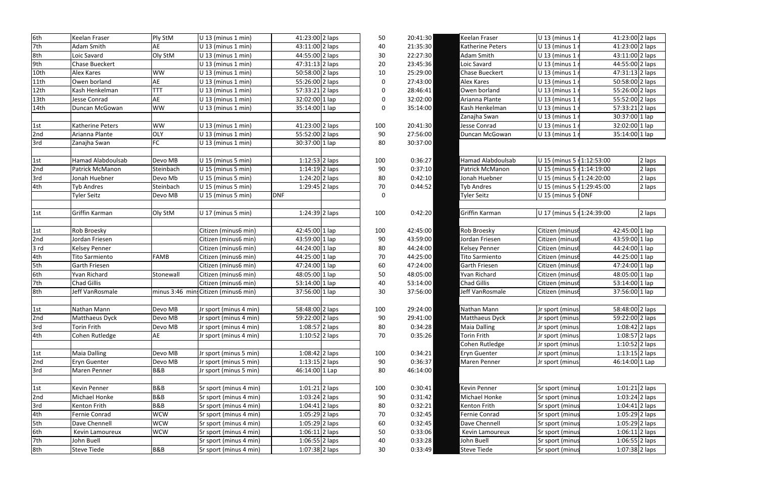| Keelan Fraser            | U 13 (minus 1 r            | 41:23:00 2 laps   |        |
|--------------------------|----------------------------|-------------------|--------|
| Katherine Peters         | U 13 (minus 1 r            | 41:23:00 2 laps   |        |
| Adam Smith               | U 13 (minus 1 r            | 43:11:00 2 laps   |        |
| Loic Savard              | U 13 (minus 1 r            | 44:55:00 2 laps   |        |
| <b>Chase Bueckert</b>    | U 13 (minus 1 r            | 47:31:13 2 laps   |        |
| Alex Kares               | U 13 (minus 1 r            | 50:58:00 2 laps   |        |
| Owen borland             | U 13 (minus 1 r            | 55:26:00 2 laps   |        |
| Arianna Plante           | $U$ 13 (minus 1 r          | 55:52:00 2 laps   |        |
| Kash Henkelman           | $U$ 13 (minus 1 r          | 57:33:21 2 laps   |        |
| Zanajha Swan             | U 13 (minus 1 r            | 30:37:00 1 lap    |        |
| Jesse Conrad             | $U$ 13 (minus 1 r          | 32:02:00 1 lap    |        |
| Duncan McGowan           | $U$ 13 (minus 1 r          | 35:14:00 1 lap    |        |
|                          |                            |                   |        |
| <b>Hamad Alabdoulsab</b> | U 15 (minus 5 r 1:12:53:00 |                   | 2 laps |
| <b>Patrick McManon</b>   | U 15 (minus 5 r 1:14:19:00 |                   | 2 laps |
| Jonah Huebner            | U 15 (minus 5 r 1:24:20:00 |                   | 2 laps |
| <b>Tyb Andres</b>        | U 15 (minus 5 r 1:29:45:00 |                   | 2 laps |
| <b>Tyler Seitz</b>       | U 15 (minus 5 rDNF         |                   |        |
|                          |                            |                   |        |
| Griffin Karman           | U 17 (minus 5 r 1:24:39:00 |                   | 2 laps |
| Rob Broesky              | Citizen (minuse            | 42:45:00 1 lap    |        |
| Jordan Friesen           | Citizen (minus6            | 43:59:00 1 lap    |        |
| <b>Kelsey Penner</b>     | Citizen (minus6            | 44:24:00 1 lap    |        |
| <b>Tito Sarmiento</b>    | Citizen (minus6            | 44:25:00 1 lap    |        |
| Garth Friesen            | Citizen (minus6            | 47:24:00 1 lap    |        |
| Yvan Richard             | Citizen (minus6            | 48:05:00 1 lap    |        |
| <b>Chad Gillis</b>       | Citizen (minus6            | 53:14:00 1 lap    |        |
| Jeff VanRosmale          | Citizen (minus6            | 37:56:00 1 lap    |        |
|                          |                            |                   |        |
| Nathan Mann              | Jr sport (minus            | 58:48:00 2 laps   |        |
| Matthaeus Dyck           | Jr sport (minus            | 59:22:00 2 laps   |        |
| <b>Maia Dalling</b>      | Jr sport (minus            | 1:08:42 2 laps    |        |
| <b>Torin Frith</b>       | Jr sport (minus            | 1:08:57 2 laps    |        |
| Cohen Rutledge           | Jr sport (minus            | $1:10:52$ 2 laps  |        |
| <b>Eryn Guenter</b>      | Jr sport (minus            | $1:13:15$  2 laps |        |
| Maren Penner             | Jr sport (minus            | 46:14:00 1 Lap    |        |
|                          |                            |                   |        |
| Kevin Penner             | Sr sport (minus            | 1:01:21 2 laps    |        |
| Michael Honke            | Sr sport (minus            | $1:03:24$ 2 laps  |        |
| Kenton Frith             | Sr sport (minus            | $1:04:41$  2 laps |        |
| Fernie Conrad            | Sr sport (minus            | 1:05:29 2 laps    |        |
| Dave Chennell            | Sr sport (minus            | $1:05:29$ 2 laps  |        |
| Kevin Lamoureux          | Sr sport (minus            | 1:06:11 2 laps    |        |
| John Buell               | Sr sport (minus            | $1:06:55$ 2 laps  |        |
| <b>Steve Tiede</b>       | Sr sport (minus            | 1:07:38 2 laps    |        |
|                          |                            |                   |        |

| 6th  | Keelan Fraser            | Ply StM        | U 13 (minus 1 min)                   | 41:23:00 2 laps  | 50               | 20:41:30 | Keelan Fraser            | U 13 (minus 1              | 41:23:00 2 laps  |        |
|------|--------------------------|----------------|--------------------------------------|------------------|------------------|----------|--------------------------|----------------------------|------------------|--------|
| 7th  | Adam Smith               | AE             | $U$ 13 (minus 1 min)                 | 43:11:00 2 laps  | 40               | 21:35:30 | Katherine Peters         | U 13 (minus 1              | 41:23:00 2 laps  |        |
| 8th  | Loic Savard              | Oly StM        | $U$ 13 (minus 1 min)                 | 44:55:00 2 laps  | 30               | 22:27:30 | Adam Smith               | U 13 (minus 1              | 43:11:00 2 laps  |        |
| 9th  | Chase Bueckert           |                | U 13 (minus 1 min)                   | 47:31:13 2 laps  | 20               | 23:45:36 | Loic Savard              | U 13 (minus 1              | 44:55:00 2 laps  |        |
| 10th | Alex Kares               | <b>WW</b>      | U 13 (minus 1 min)                   | 50:58:00 2 laps  | 10               | 25:29:00 | Chase Bueckert           | U 13 (minus 1              | 47:31:13 2 laps  |        |
| 11th | Owen borland             | AE             | $U$ 13 (minus 1 min)                 | 55:26:00 2 laps  | 0                | 27:43:00 | Alex Kares               | U 13 (minus 1              | 50:58:00 2 laps  |        |
| 12th | Kash Henkelman           | ГТТ            | $U$ 13 (minus 1 min)                 | 57:33:21 2 laps  | 0                | 28:46:41 | Owen borland             | U 13 (minus 1              | 55:26:00 2 laps  |        |
| 13th | Jesse Conrad             | AE             | $U$ 13 (minus 1 min)                 | 32:02:00 1 lap   | 0                | 32:02:00 | Arianna Plante           | U 13 (minus 1              | 55:52:00 2 laps  |        |
| 14th | Duncan McGowan           | <b>WW</b>      | $U$ 13 (minus 1 min)                 | 35:14:00 1 lap   | 0                | 35:14:00 | Kash Henkelman           | $U$ 13 (minus 1            | 57:33:21 2 laps  |        |
|      |                          |                |                                      |                  |                  |          | Zanajha Swan             | U 13 (minus 1              | 30:37:00 1 lap   |        |
| 1st  | <b>Katherine Peters</b>  | <b>WW</b>      | $U$ 13 (minus 1 min)                 | 41:23:00 2 laps  | 100              | 20:41:30 | Jesse Conrad             | U 13 (minus 1              | $32:02:00$ 1 lap |        |
| 2nd  | Arianna Plante           | <b>OLY</b>     | $U$ 13 (minus 1 min)                 | 55:52:00 2 laps  | 90               | 27:56:00 | Duncan McGowan           | U 13 (minus 1)             | $35:14:00$ 1 lap |        |
| 3rd  | Zanajha Swan             | <b>FC</b>      | $U$ 13 (minus 1 min)                 | 30:37:00 1 lap   | 80               | 30:37:00 |                          |                            |                  |        |
|      |                          |                |                                      |                  |                  |          |                          |                            |                  |        |
| 1st  | <b>Hamad Alabdoulsab</b> | Devo MB        | $U$ 15 (minus 5 min)                 | $1:12:53$ 2 laps | 100              | 0:36:27  | <b>Hamad Alabdoulsab</b> | U 15 (minus 5 r 1:12:53:00 |                  | 2 laps |
| 2nd  | Patrick McManon          | Steinbach      | U 15 (minus 5 min)                   | $1:14:19$ 2 laps | 90               | 0:37:10  | Patrick McManon          | U 15 (minus 5 r 1:14:19:00 |                  | 2 laps |
| 3rd  | Jonah Huebner            | Devo Mb        | $U$ 15 (minus 5 min)                 | 1:24:20 2 laps   | 80               | 0:42:10  | Jonah Huebner            | U 15 (minus 5 r 1:24:20:00 |                  | 2 laps |
| 4th  | <b>Tyb Andres</b>        | Steinbach      | U 15 (minus 5 min)                   | $1:29:45$ 2 laps | 70               | 0:44:52  | <b>Tyb Andres</b>        | U 15 (minus 5 r 1:29:45:00 |                  | 2 laps |
|      | <b>Tyler Seitz</b>       | Devo MB        | U 15 (minus 5 min)                   | <b>DNF</b>       | $\boldsymbol{0}$ |          | <b>Tyler Seitz</b>       | U 15 (minus 5 rDNF         |                  |        |
|      |                          |                |                                      |                  |                  |          |                          |                            |                  |        |
| 1st  | Griffin Karman           | Oly StM        | U 17 (minus 5 min)                   | 1:24:39 2 laps   | 100              | 0:42:20  | Griffin Karman           | U 17 (minus 5 r 1:24:39:00 |                  | 2 laps |
|      |                          |                |                                      |                  |                  |          |                          |                            |                  |        |
| 1st  | Rob Broesky              |                | Citizen (minus6 min)                 | 42:45:00 1 lap   | 100              | 42:45:00 | Rob Broesky              | Citizen (minus6            | 42:45:00 1 lap   |        |
| 2nd  | Jordan Friesen           |                | Citizen (minus6 min)                 | 43:59:00 1 lap   | 90               | 43:59:00 | Jordan Friesen           | Citizen (minus6            | 43:59:00 1 lap   |        |
| 3rd  | <b>Kelsey Penner</b>     |                | Citizen (minus6 min)                 | 44:24:00 1 lap   | 80               | 44:24:00 | Kelsey Penner            | Citizen (minus6            | 44:24:00 1 lap   |        |
| 4th  | <b>Tito Sarmiento</b>    | <b>FAMB</b>    | Citizen (minus6 min)                 | $44:25:00$ 1 lap | 70               | 44:25:00 | <b>Tito Sarmiento</b>    | Citizen (minus6            | 44:25:00 1 lap   |        |
| 5th  | Garth Friesen            |                | Citizen (minus6 min)                 | 47:24:00 1 lap   | 60               | 47:24:00 | Garth Friesen            | Citizen (minus6            | 47:24:00 1 lap   |        |
| 6th  | Yvan Richard             | Stonewall      | Citizen (minus6 min)                 | 48:05:00 1 lap   | 50               | 48:05:00 | Yvan Richard             | Citizen (minus6            | 48:05:00 1 lap   |        |
| 7th  | <b>Chad Gillis</b>       |                | Citizen (minus6 min)                 | 53:14:00 1 lap   | 40               | 53:14:00 | <b>Chad Gillis</b>       | Citizen (minus6            | 53:14:00 1 lap   |        |
| 8th  | Jeff VanRosmale          |                | minus 3:46 mins Citizen (minus6 min) | 37:56:00 1 lap   | 30               | 37:56:00 | Jeff VanRosmale          | Citizen (minus6            | 37:56:00 1 lap   |        |
|      |                          |                |                                      |                  |                  |          |                          |                            |                  |        |
| 1st  | Nathan Mann              | Devo MB        | Jr sport (minus 4 min)               | 58:48:00 2 laps  | 100              | 29:24:00 | Nathan Mann              | Jr sport (minus            | 58:48:00 2 laps  |        |
| 2nd  | <b>Matthaeus Dyck</b>    | Devo MB        | Jr sport (minus 4 min)               | 59:22:00 2 laps  | 90               | 29:41:00 | Matthaeus Dyck           | Jr sport (minus            | 59:22:00 2 laps  |        |
| 3rd  | Torin Frith              | Devo MB        | Jr sport (minus 4 min)               | 1:08:57 2 laps   | 80               | 0:34:28  | Maia Dalling             | Jr sport (minus            | 1:08:42 2 laps   |        |
| 4th  | Cohen Rutledge           | <b>AE</b>      | Jr sport (minus 4 min)               | 1:10:52 2 laps   | 70               | 0:35:26  | Torin Frith              | Jr sport (minus            | 1:08:57 2 laps   |        |
|      |                          |                |                                      |                  |                  |          | Cohen Rutledge           | Jr sport (minus            | 1:10:52 2 laps   |        |
| 1st  | <b>Maia Dalling</b>      | Devo MB        | Jr sport (minus 5 min)               | $1:08:42$ 2 laps | 100              | 0:34:21  | <b>Eryn Guenter</b>      | Jr sport (minus            | $1:13:15$ 2 laps |        |
| 2nd  | <b>Eryn Guenter</b>      | Devo MB        | Jr sport (minus 5 min)               | 1:13:15 2 laps   | 90               | 0:36:37  | Maren Penner             | Jr sport (minus            | 46:14:00 1 Lap   |        |
| 3rd  | Maren Penner             | <b>B&amp;B</b> | Jr sport (minus 5 min)               | 46:14:00 1 Lap   | 80               | 46:14:00 |                          |                            |                  |        |
|      |                          |                |                                      |                  |                  |          |                          |                            |                  |        |
| 1st  | Kevin Penner             | <b>B&amp;B</b> | Sr sport (minus 4 min)               | $1:01:21$ 2 laps | 100              | 0:30:41  | Kevin Penner             | Sr sport (minus            | 1:01:21 2 laps   |        |
| 2nd  | Michael Honke            | <b>B&amp;B</b> | Sr sport (minus 4 min)               | $1:03:24$ 2 laps | 90               | 0:31:42  | Michael Honke            | Sr sport (minus            | $1:03:24$ 2 laps |        |
| 3rd  | Kenton Frith             | <b>B&amp;B</b> | Sr sport (minus 4 min)               | $1:04:41$ 2 laps | 80               | 0:32:21  | Kenton Frith             | Sr sport (minus            | 1:04:41 2 laps   |        |
| 4th  | Fernie Conrad            | <b>WCW</b>     | Sr sport (minus 4 min)               | $1:05:29$ 2 laps | 70               | 0:32:45  | Fernie Conrad            | Sr sport (minus            | 1:05:29 2 laps   |        |
| 5th  | Dave Chennell            | <b>WCW</b>     | Sr sport (minus 4 min)               | $1:05:29$ 2 laps | 60               | 0:32:45  | Dave Chennell            | Sr sport (minus            | 1:05:29 2 laps   |        |
| 6th  | Kevin Lamoureux          | <b>WCW</b>     | Sr sport (minus 4 min)               | $1:06:11$ 2 laps | 50               | 0:33:06  | Kevin Lamoureux          | Sr sport (minus            | $1:06:11$ 2 laps |        |
| 7th  | John Buell               |                | Sr sport (minus 4 min)               | $1:06:55$ 2 laps | 40               | 0:33:28  | John Buell               | Sr sport (minus            | $1:06:55$ 2 laps |        |
| 8th  | <b>Steve Tiede</b>       | <b>B&amp;B</b> | Sr sport (minus 4 min)               | $1:07:38$ 2 laps | 30               | 0:33:49  | Steve Tiede              | Sr sport (minus            | 1:07:38 2 laps   |        |
|      |                          |                |                                      |                  |                  |          |                          |                            |                  |        |